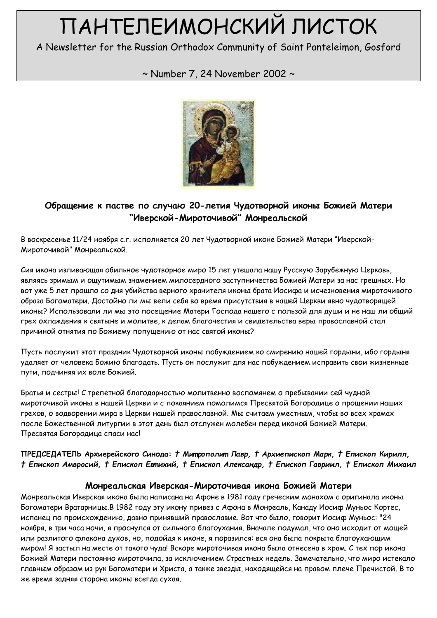# ПАНТЕЛЕИМОНСКИЙ ЛИСТОК

A Newsletter for the Russian Orthodox Community of Saint Panteleimon, Gosford

# ~ Number 7, 24 November 2002 ~



# Обращение к пастве по случаю 20-летия Чудотворной иконы Божией Матери "Иверской-Мироточивой" Монреальской

В воскресенье 11/24 ноября с.г. исполняется 20 лет Чудотворной иконе Божией Матери "Иверской-Мироточивой" Монреальской.

Сия икона изливающая обильное чудотворное миро 15 лет утешала нашу Русскую Зарубежную Церковь, являясь зримым и ощутимым знамением милосердного заступничества Божией Матери за нас грешных. Но вот уже 5 лет прошло со дня убийства верного хранителя иконы брата Иосифа и исчезновения мироточивого образа Богоматери. Достойно ли мы вели себя во время присутствия в нашей Церкви явно чудотворящей иконы? Использовали ли мы это посещение Матери Господа нашего с пользой для души и не наш ли общий грех охлаждения к святыне и молитве, к делам благочестия и свидетельства веры православной стал причиной отнятия по Божиему попущению от нас святой иконы?

Пусть послужит этот праздник Чудотворной иконы побуждением ко смирению нашей гордыни, ибо гордыня удаляет от человека Божию благодать. Пусть он послужит для нас побуждением исправить свои жизненные пути, подчиняя их воле Божией.

Братья и сестры! С трепетной благодарностью молитвенно воспомянем о пребывании сей чудной мироточивой иконы в нашей Церкви и с покаянием помолимся Пресвятой Богородице о прощении наших грехов, о водворении мира в Церкви нашей православной. Мы считаем уместным, чтобы во всех храмах после Божественной литургии в этот день был отслужен молебен перед иконой Божией Матери. Пресвятая Богородица спаси нас!

#### ПРЕДСЕДАТЕЛЬ Архиерейского Синода: † Митрополит Лавр, † Архиепископ Марк, † Епископ Кирилл, † Епископ Амвросий, † Епископ Евтихий, † Епископ Александр, † Епископ Гавриил, † Епископ Михаил

#### Монреальская Иверская-Мироточивая икона Божией Матери

Монреальская Иверская икона была написана на Афоне в 1981 году греческим монахом с оригинала иконы Богоматери Вратарницы.В 1982 году эту икону привез с Афона в Монреаль, Канаду Иосиф Муньос Кортес, испанец по происхождению, давно принявший православие. Вот что было, говорит Иосиф Муньос: "24 ноября, в три часа ночи, я проснулся от сильного благоухания. Вначале подумал, что оно исходит от мощей или разлитого флакона духов, но, подойдя к иконе, я поразился: вся она была покрыта благоухающим миром! Я застыл на месте от такого чуда! Вскоре мироточивая икона была отнесена в храм. С тех пор икона Божией Матери постоянно мироточила, за исключением Страстных недель. Замечательно, что миро истекало главным образом из рук Богоматери и Христа, а также звезды, находящейся на правом плече Пречистой. В то же время задняя сторона иконы всегда сухая.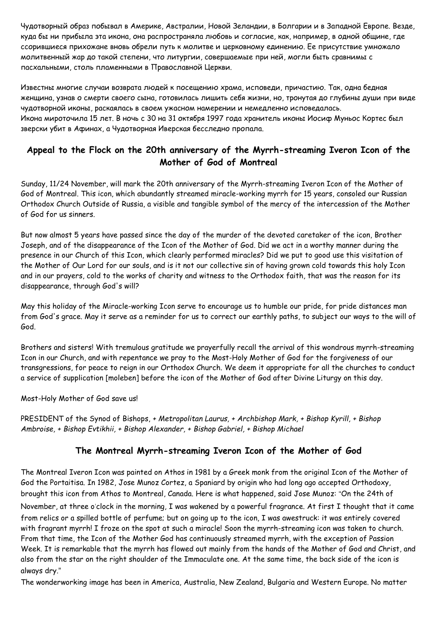Чудотворный образ побывал в Америке, Австралии, Новой Зеландии, в Болгарии и в Западной Европе. Везде, куда бы ни прибыла эта икона, она распространяла любовь и согласие, как, например, в одной общине, где ссорившиеся прихожане вновь обрели путь к молитве и церковному единению. Ее присутствие умножало молитвенный жар до такой степени, что литургии, совершаемые при ней, могли быть сравнимы с пасхальными, столь пламенными в Православной Церкви.

Известны многие случаи возврата людей к посещению храма, исповеди, причастию. Так, одна бедная женщина, узнав о смерти своего сына, готовилась лишить себя жизни, но, тронутая до глубины души при виде чудотворной иконы, раскаялась в своем ужасном намерении и немедленно исповедалась. Икона мироточила 15 лет. В ночь с 30 на 31 октября 1997 года хранитель иконы Иосиф Муньос Кортес был зверски убит в Афинах, а Чудотворная Иверская бесследно пропала.

## Appeal to the Flock on the 20th anniversary of the Myrrh-streaming Iveron Icon of the Mother of God of Montreal

Sunday, 11/24 November, will mark the 20th anniversary of the Myrrh-streaming Iveron Icon of the Mother of God of Montreal. This icon, which abundantly streamed miracle-working myrrh for 15 years, consoled our Russian Orthodox Church Outside of Russia, a visible and tangible symbol of the mercy of the intercession of the Mother of God for us sinners.

But now almost 5 years have passed since the day of the murder of the devoted caretaker of the icon, Brother Joseph, and of the disappearance of the Icon of the Mother of God. Did we act in a worthy manner during the presence in our Church of this Icon, which clearly performed miracles? Did we put to good use this visitation of the Mother of Our Lord for our souls, and is it not our collective sin of having grown cold towards this holy Icon and in our prayers, cold to the works of charity and witness to the Orthodox faith, that was the reason for its disappearance, through God's will?

May this holiday of the Miracle-working Icon serve to encourage us to humble our pride, for pride distances man from God's grace. May it serve as a reminder for us to correct our earthly paths, to subject our ways to the will of God.

Brothers and sisters! With tremulous gratitude we prayerfully recall the arrival of this wondrous myrrh-streaming Icon in our Church, and with repentance we pray to the Most-Holy Mother of God for the forgiveness of our transgressions, for peace to reign in our Orthodox Church. We deem it appropriate for all the churches to conduct a service of supplication [moleben] before the icon of the Mother of God after Divine Liturgy on this day.

Most-Holy Mother of God save us!

PRESIDENT of the Synod of Bishops, + Metropolitan Laurus, + Archbishop Mark, + Bishop Kyrill, + Bishop Ambroise, + Bishop Evtikhii, + Bishop Alexander, + Bishop Gabriel, + Bishop Michael

#### The Montreal Myrrh-streaming Iveron Icon of the Mother of God

The Montreal Iveron Icon was painted on Athos in 1981 by a Greek monk from the original Icon of the Mother of God the Portaitisa. In 1982, Jose Munoz Cortez, a Spaniard by origin who had long ago accepted Orthodoxy, brought this icon from Athos to Montreal, Canada. Here is what happened, said Jose Munoz: "On the 24th of November, at three o'clock in the morning, I was wakened by a powerful fragrance. At first I thought that it came from relics or a spilled bottle of perfume; but on going up to the icon, I was awestruck: it was entirely covered with fragrant myrrh! I froze on the spot at such a miracle! Soon the myrrh-streaming icon was taken to church. From that time, the Icon of the Mother God has continuously streamed myrrh, with the exception of Passion Week. It is remarkable that the myrrh has flowed out mainly from the hands of the Mother of God and Christ, and also from the star on the right shoulder of the Immaculate one. At the same time, the back side of the icon is always dry."

The wonderworking image has been in America, Australia, New Zealand, Bulgaria and Western Europe. No matter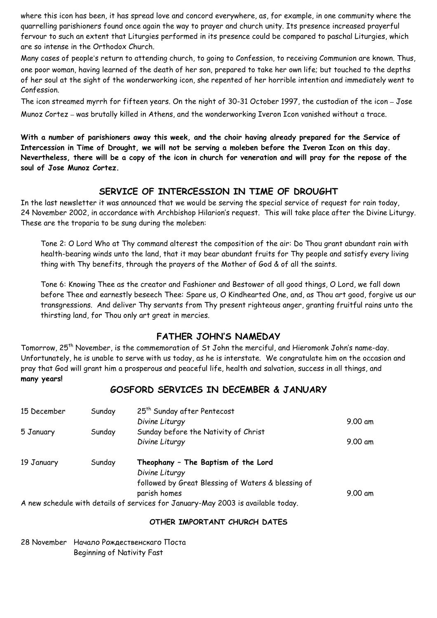where this icon has been, it has spread love and concord everywhere, as, for example, in one community where the quarrelling parishioners found once again the way to prayer and church unity. Its presence increased prayerful fervour to such an extent that Liturgies performed in its presence could be compared to paschal Liturgies, which are so intense in the Orthodox Church.

Many cases of people's return to attending church, to going to Confession, to receiving Communion are known. Thus, one poor woman, having learned of the death of her son, prepared to take her own life; but touched to the depths of her soul at the sight of the wonderworking icon, she repented of her horrible intention and immediately went to Confession.

The icon streamed myrrh for fifteen years. On the night of 30-31 October 1997, the custodian of the icon – Jose

Munoz Cortez – was brutally killed in Athens, and the wonderworking Iveron Icon vanished without a trace.

With a number of parishioners away this week, and the choir having already prepared for the Service of Intercession in Time of Drought, we will not be serving a moleben before the Iveron Icon on this day. Nevertheless, there will be a copy of the icon in church for veneration and will pray for the repose of the soul of Jose Munoz Cortez.

#### SERVICE OF INTERCESSION IN TIME OF DROUGHT

In the last newsletter it was announced that we would be serving the special service of request for rain today, 24 November 2002, in accordance with Archbishop Hilarion's request. This will take place after the Divine Liturgy. These are the troparia to be sung during the moleben:

Tone 2: O Lord Who at Thy command alterest the composition of the air: Do Thou grant abundant rain with health-bearing winds unto the land, that it may bear abundant fruits for Thy people and satisfy every living thing with Thy benefits, through the prayers of the Mother of God & of all the saints.

Tone 6: Knowing Thee as the creator and Fashioner and Bestower of all good things, O Lord, we fall down before Thee and earnestly beseech Thee: Spare us, O Kindhearted One, and, as Thou art good, forgive us our transgressions. And deliver Thy servants from Thy present righteous anger, granting fruitful rains unto the thirsting land, for Thou only art great in mercies.

## FATHER JOHN'S NAMEDAY

Tomorrow, 25<sup>th</sup> November, is the commemoration of St John the merciful, and Hieromonk John's name-day. Unfortunately, he is unable to serve with us today, as he is interstate. We congratulate him on the occasion and pray that God will grant him a prosperous and peaceful life, health and salvation, success in all things, and many years!

#### GOSFORD SERVICES IN DECEMBER & JANUARY

| 15 December | Sunday | 25 <sup>th</sup> Sunday after Pentecost                                               |           |
|-------------|--------|---------------------------------------------------------------------------------------|-----------|
|             |        | Divine Liturgy                                                                        | $9.00$ am |
| 5 January   | Sunday | Sunday before the Nativity of Christ                                                  |           |
|             |        | Divine Liturgy                                                                        | 9.00 am   |
| 19 January  | Sunday | Theophany - The Baptism of the Lord                                                   |           |
|             |        | Divine Liturgy                                                                        |           |
|             |        | followed by Great Blessing of Waters & blessing of                                    |           |
|             |        | parish homes                                                                          | $9.00$ am |
|             |        | A poucodo divided different vocation of consideration of the distribution of the day. |           |

A new schedule with details of services for January-May 2003 is available today.

#### OTHER IMPORTANT CHURCH DATES

28 November Начало Рождественскаго Поста Beginning of Nativity Fast